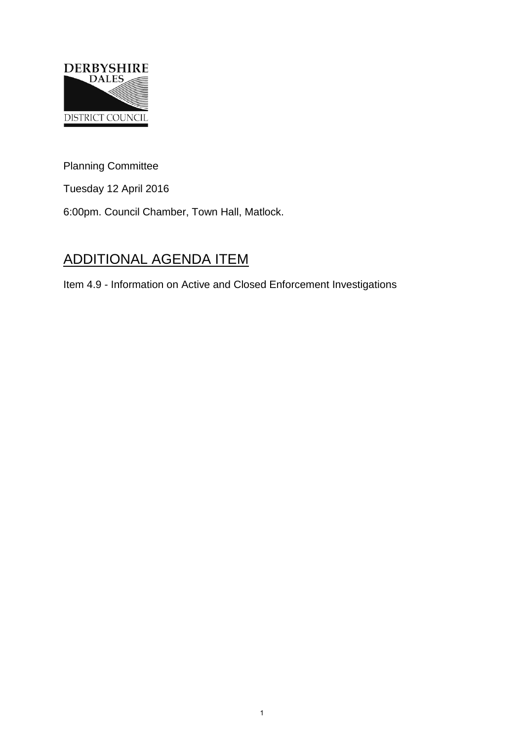

Planning Committee

Tuesday 12 April 2016

6:00pm. Council Chamber, Town Hall, Matlock.

## ADDITIONAL AGENDA ITEM

Item 4.9 - Information on Active and Closed Enforcement Investigations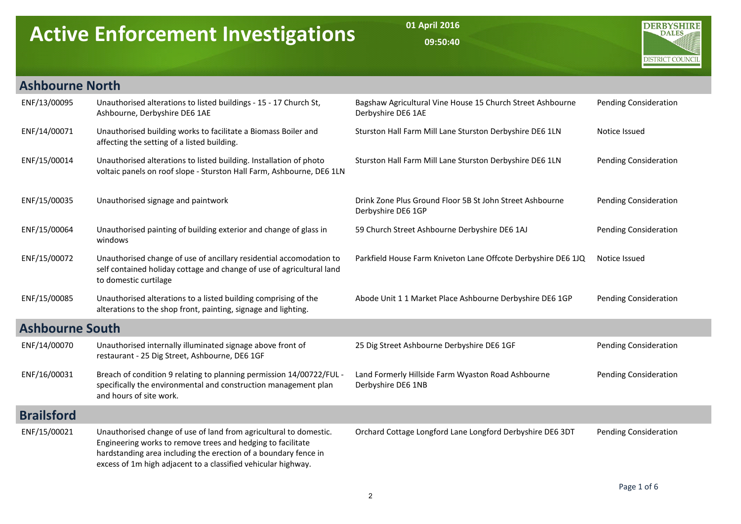## Active Enforcement Investigations

01 April 2016 09:50:40



## Ashbourne North

| ENF/13/00095           | Unauthorised alterations to listed buildings - 15 - 17 Church St,<br>Ashbourne, Derbyshire DE6 1AE                                                                                                                                                                   | Bagshaw Agricultural Vine House 15 Church Street Ashbourne<br>Derbyshire DE6 1AE | <b>Pending Consideration</b> |
|------------------------|----------------------------------------------------------------------------------------------------------------------------------------------------------------------------------------------------------------------------------------------------------------------|----------------------------------------------------------------------------------|------------------------------|
| ENF/14/00071           | Unauthorised building works to facilitate a Biomass Boiler and<br>affecting the setting of a listed building.                                                                                                                                                        | Sturston Hall Farm Mill Lane Sturston Derbyshire DE6 1LN                         | Notice Issued                |
| ENF/15/00014           | Unauthorised alterations to listed building. Installation of photo<br>voltaic panels on roof slope - Sturston Hall Farm, Ashbourne, DE6 1LN                                                                                                                          | Sturston Hall Farm Mill Lane Sturston Derbyshire DE6 1LN                         | Pending Consideration        |
| ENF/15/00035           | Unauthorised signage and paintwork                                                                                                                                                                                                                                   | Drink Zone Plus Ground Floor 5B St John Street Ashbourne<br>Derbyshire DE6 1GP   | Pending Consideration        |
| ENF/15/00064           | Unauthorised painting of building exterior and change of glass in<br>windows                                                                                                                                                                                         | 59 Church Street Ashbourne Derbyshire DE6 1AJ                                    | Pending Consideration        |
| ENF/15/00072           | Unauthorised change of use of ancillary residential accomodation to<br>self contained holiday cottage and change of use of agricultural land<br>to domestic curtilage                                                                                                | Parkfield House Farm Kniveton Lane Offcote Derbyshire DE6 1JQ                    | Notice Issued                |
| ENF/15/00085           | Unauthorised alterations to a listed building comprising of the<br>alterations to the shop front, painting, signage and lighting.                                                                                                                                    | Abode Unit 1 1 Market Place Ashbourne Derbyshire DE6 1GP                         | Pending Consideration        |
| <b>Ashbourne South</b> |                                                                                                                                                                                                                                                                      |                                                                                  |                              |
| ENF/14/00070           | Unauthorised internally illuminated signage above front of<br>restaurant - 25 Dig Street, Ashbourne, DE6 1GF                                                                                                                                                         | 25 Dig Street Ashbourne Derbyshire DE6 1GF                                       | Pending Consideration        |
| ENF/16/00031           | Breach of condition 9 relating to planning permission 14/00722/FUL -<br>specifically the environmental and construction management plan<br>and hours of site work.                                                                                                   | Land Formerly Hillside Farm Wyaston Road Ashbourne<br>Derbyshire DE6 1NB         | Pending Consideration        |
| <b>Brailsford</b>      |                                                                                                                                                                                                                                                                      |                                                                                  |                              |
| ENF/15/00021           | Unauthorised change of use of land from agricultural to domestic.<br>Engineering works to remove trees and hedging to facilitate<br>hardstanding area including the erection of a boundary fence in<br>excess of 1m high adjacent to a classified vehicular highway. | Orchard Cottage Longford Lane Longford Derbyshire DE6 3DT                        | Pending Consideration        |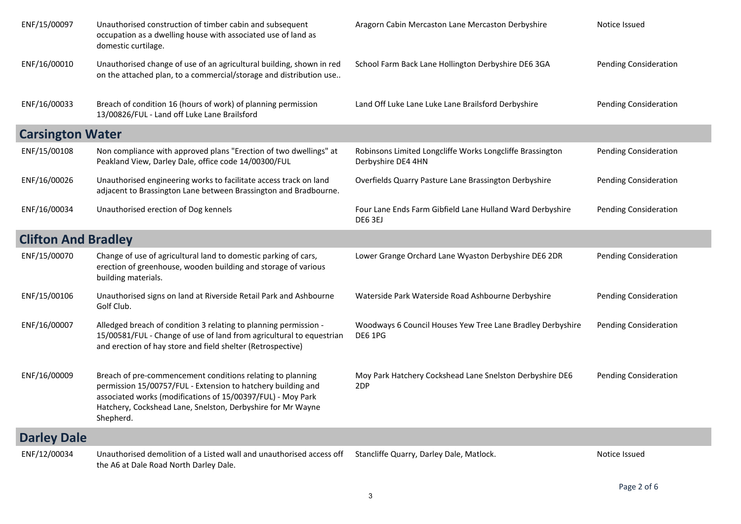| ENF/15/00097               | Unauthorised construction of timber cabin and subsequent<br>occupation as a dwelling house with associated use of land as<br>domestic curtilage.                                                                                                                      | Aragorn Cabin Mercaston Lane Mercaston Derbyshire                               | Notice Issued                |
|----------------------------|-----------------------------------------------------------------------------------------------------------------------------------------------------------------------------------------------------------------------------------------------------------------------|---------------------------------------------------------------------------------|------------------------------|
| ENF/16/00010               | Unauthorised change of use of an agricultural building, shown in red<br>on the attached plan, to a commercial/storage and distribution use                                                                                                                            | School Farm Back Lane Hollington Derbyshire DE6 3GA                             | <b>Pending Consideration</b> |
| ENF/16/00033               | Breach of condition 16 (hours of work) of planning permission<br>13/00826/FUL - Land off Luke Lane Brailsford                                                                                                                                                         | Land Off Luke Lane Luke Lane Brailsford Derbyshire                              | <b>Pending Consideration</b> |
| <b>Carsington Water</b>    |                                                                                                                                                                                                                                                                       |                                                                                 |                              |
| ENF/15/00108               | Non compliance with approved plans "Erection of two dwellings" at<br>Peakland View, Darley Dale, office code 14/00300/FUL                                                                                                                                             | Robinsons Limited Longcliffe Works Longcliffe Brassington<br>Derbyshire DE4 4HN | <b>Pending Consideration</b> |
| ENF/16/00026               | Unauthorised engineering works to facilitate access track on land<br>adjacent to Brassington Lane between Brassington and Bradbourne.                                                                                                                                 | Overfields Quarry Pasture Lane Brassington Derbyshire                           | <b>Pending Consideration</b> |
| ENF/16/00034               | Unauthorised erection of Dog kennels                                                                                                                                                                                                                                  | Four Lane Ends Farm Gibfield Lane Hulland Ward Derbyshire<br>DE6 3EJ            | <b>Pending Consideration</b> |
| <b>Clifton And Bradley</b> |                                                                                                                                                                                                                                                                       |                                                                                 |                              |
| ENF/15/00070               | Change of use of agricultural land to domestic parking of cars,<br>erection of greenhouse, wooden building and storage of various<br>building materials.                                                                                                              | Lower Grange Orchard Lane Wyaston Derbyshire DE6 2DR                            | <b>Pending Consideration</b> |
| ENF/15/00106               | Unauthorised signs on land at Riverside Retail Park and Ashbourne<br>Golf Club.                                                                                                                                                                                       | Waterside Park Waterside Road Ashbourne Derbyshire                              | <b>Pending Consideration</b> |
| ENF/16/00007               | Alledged breach of condition 3 relating to planning permission -<br>15/00581/FUL - Change of use of land from agricultural to equestrian<br>and erection of hay store and field shelter (Retrospective)                                                               | Woodways 6 Council Houses Yew Tree Lane Bradley Derbyshire<br><b>DE6 1PG</b>    | <b>Pending Consideration</b> |
| ENF/16/00009               | Breach of pre-commencement conditions relating to planning<br>permission 15/00757/FUL - Extension to hatchery building and<br>associated works (modifications of 15/00397/FUL) - Moy Park<br>Hatchery, Cockshead Lane, Snelston, Derbyshire for Mr Wayne<br>Shepherd. | Moy Park Hatchery Cockshead Lane Snelston Derbyshire DE6<br>2DP                 | <b>Pending Consideration</b> |
| <b>Darley Dale</b>         |                                                                                                                                                                                                                                                                       |                                                                                 |                              |
| ENF/12/00034               | Unauthorised demolition of a Listed wall and unauthorised access off<br>the A6 at Dale Road North Darley Dale.                                                                                                                                                        | Stancliffe Quarry, Darley Dale, Matlock.                                        | Notice Issued                |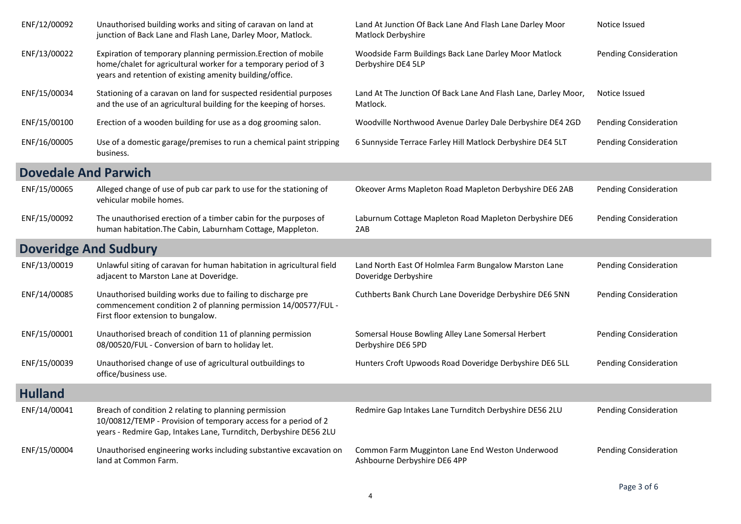| ENF/12/00092                 | Unauthorised building works and siting of caravan on land at<br>junction of Back Lane and Flash Lane, Darley Moor, Matlock.                                                                    | Land At Junction Of Back Lane And Flash Lane Darley Moor<br>Matlock Derbyshire  | Notice Issued                |
|------------------------------|------------------------------------------------------------------------------------------------------------------------------------------------------------------------------------------------|---------------------------------------------------------------------------------|------------------------------|
| ENF/13/00022                 | Expiration of temporary planning permission. Erection of mobile<br>home/chalet for agricultural worker for a temporary period of 3<br>years and retention of existing amenity building/office. | Woodside Farm Buildings Back Lane Darley Moor Matlock<br>Derbyshire DE4 5LP     | <b>Pending Consideration</b> |
| ENF/15/00034                 | Stationing of a caravan on land for suspected residential purposes<br>and the use of an agricultural building for the keeping of horses.                                                       | Land At The Junction Of Back Lane And Flash Lane, Darley Moor,<br>Matlock.      | Notice Issued                |
| ENF/15/00100                 | Erection of a wooden building for use as a dog grooming salon.                                                                                                                                 | Woodville Northwood Avenue Darley Dale Derbyshire DE4 2GD                       | <b>Pending Consideration</b> |
| ENF/16/00005                 | Use of a domestic garage/premises to run a chemical paint stripping<br>business.                                                                                                               | 6 Sunnyside Terrace Farley Hill Matlock Derbyshire DE4 5LT                      | <b>Pending Consideration</b> |
| <b>Dovedale And Parwich</b>  |                                                                                                                                                                                                |                                                                                 |                              |
| ENF/15/00065                 | Alleged change of use of pub car park to use for the stationing of<br>vehicular mobile homes.                                                                                                  | Okeover Arms Mapleton Road Mapleton Derbyshire DE6 2AB                          | <b>Pending Consideration</b> |
| ENF/15/00092                 | The unauthorised erection of a timber cabin for the purposes of<br>human habitation. The Cabin, Laburnham Cottage, Mappleton.                                                                  | Laburnum Cottage Mapleton Road Mapleton Derbyshire DE6<br>2AB                   | <b>Pending Consideration</b> |
| <b>Doveridge And Sudbury</b> |                                                                                                                                                                                                |                                                                                 |                              |
| ENF/13/00019                 | Unlawful siting of caravan for human habitation in agricultural field<br>adjacent to Marston Lane at Doveridge.                                                                                | Land North East Of Holmlea Farm Bungalow Marston Lane<br>Doveridge Derbyshire   | <b>Pending Consideration</b> |
| ENF/14/00085                 | Unauthorised building works due to failing to discharge pre<br>commencement condition 2 of planning permission 14/00577/FUL -<br>First floor extension to bungalow.                            | Cuthberts Bank Church Lane Doveridge Derbyshire DE6 5NN                         | <b>Pending Consideration</b> |
| ENF/15/00001                 | Unauthorised breach of condition 11 of planning permission<br>08/00520/FUL - Conversion of barn to holiday let.                                                                                | Somersal House Bowling Alley Lane Somersal Herbert<br>Derbyshire DE6 5PD        | <b>Pending Consideration</b> |
| ENF/15/00039                 | Unauthorised change of use of agricultural outbuildings to<br>office/business use.                                                                                                             | Hunters Croft Upwoods Road Doveridge Derbyshire DE6 5LL                         | <b>Pending Consideration</b> |
| <b>Hulland</b>               |                                                                                                                                                                                                |                                                                                 |                              |
| ENF/14/00041                 | Breach of condition 2 relating to planning permission<br>10/00812/TEMP - Provision of temporary access for a period of 2<br>years - Redmire Gap, Intakes Lane, Turnditch, Derbyshire DE56 2LU  | Redmire Gap Intakes Lane Turnditch Derbyshire DE56 2LU                          | Pending Consideration        |
| ENF/15/00004                 | Unauthorised engineering works including substantive excavation on<br>land at Common Farm.                                                                                                     | Common Farm Mugginton Lane End Weston Underwood<br>Ashbourne Derbyshire DE6 4PP | <b>Pending Consideration</b> |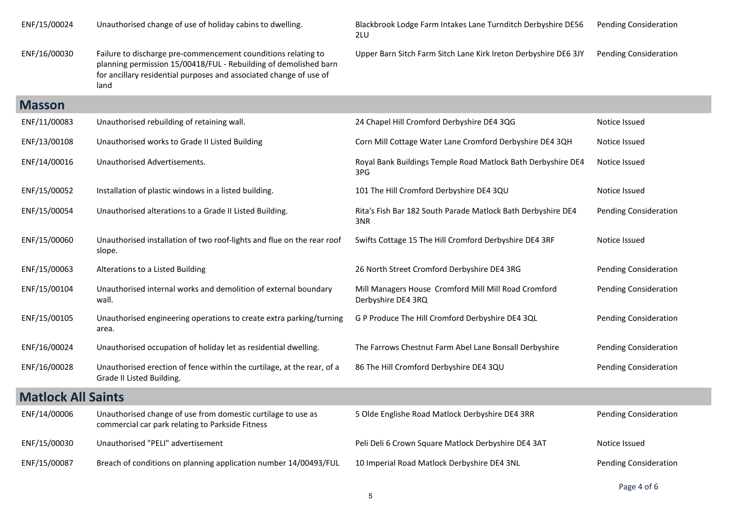| ENF/15/00024              | Unauthorised change of use of holiday cabins to dwelling.                                                                                                                                                       | Blackbrook Lodge Farm Intakes Lane Turnditch Derbyshire DE56<br>2LU        | <b>Pending Consideration</b> |
|---------------------------|-----------------------------------------------------------------------------------------------------------------------------------------------------------------------------------------------------------------|----------------------------------------------------------------------------|------------------------------|
| ENF/16/00030              | Failure to discharge pre-commencement counditions relating to<br>planning permission 15/00418/FUL - Rebuilding of demolished barn<br>for ancillary residential purposes and associated change of use of<br>land | Upper Barn Sitch Farm Sitch Lane Kirk Ireton Derbyshire DE6 3JY            | <b>Pending Consideration</b> |
| <b>Masson</b>             |                                                                                                                                                                                                                 |                                                                            |                              |
| ENF/11/00083              | Unauthorised rebuilding of retaining wall.                                                                                                                                                                      | 24 Chapel Hill Cromford Derbyshire DE4 3QG                                 | Notice Issued                |
| ENF/13/00108              | Unauthorised works to Grade II Listed Building                                                                                                                                                                  | Corn Mill Cottage Water Lane Cromford Derbyshire DE4 3QH                   | Notice Issued                |
| ENF/14/00016              | Unauthorised Advertisements.                                                                                                                                                                                    | Royal Bank Buildings Temple Road Matlock Bath Derbyshire DE4<br>3PG        | Notice Issued                |
| ENF/15/00052              | Installation of plastic windows in a listed building.                                                                                                                                                           | 101 The Hill Cromford Derbyshire DE4 3QU                                   | Notice Issued                |
| ENF/15/00054              | Unauthorised alterations to a Grade II Listed Building.                                                                                                                                                         | Rita's Fish Bar 182 South Parade Matlock Bath Derbyshire DE4<br>3NR        | <b>Pending Consideration</b> |
| ENF/15/00060              | Unauthorised installation of two roof-lights and flue on the rear roof<br>slope.                                                                                                                                | Swifts Cottage 15 The Hill Cromford Derbyshire DE4 3RF                     | Notice Issued                |
| ENF/15/00063              | Alterations to a Listed Building                                                                                                                                                                                | 26 North Street Cromford Derbyshire DE4 3RG                                | <b>Pending Consideration</b> |
| ENF/15/00104              | Unauthorised internal works and demolition of external boundary<br>wall.                                                                                                                                        | Mill Managers House Cromford Mill Mill Road Cromford<br>Derbyshire DE4 3RQ | <b>Pending Consideration</b> |
| ENF/15/00105              | Unauthorised engineering operations to create extra parking/turning<br>area.                                                                                                                                    | G P Produce The Hill Cromford Derbyshire DE4 3QL                           | Pending Consideration        |
| ENF/16/00024              | Unauthorised occupation of holiday let as residential dwelling.                                                                                                                                                 | The Farrows Chestnut Farm Abel Lane Bonsall Derbyshire                     | Pending Consideration        |
| ENF/16/00028              | Unauthorised erection of fence within the curtilage, at the rear, of a<br>Grade II Listed Building.                                                                                                             | 86 The Hill Cromford Derbyshire DE4 3QU                                    | <b>Pending Consideration</b> |
| <b>Matlock All Saints</b> |                                                                                                                                                                                                                 |                                                                            |                              |
| ENF/14/00006              | Unauthorised change of use from domestic curtilage to use as<br>commercial car park relating to Parkside Fitness                                                                                                | 5 Olde Englishe Road Matlock Derbyshire DE4 3RR                            | <b>Pending Consideration</b> |
| ENF/15/00030              | Unauthorised "PELI" advertisement                                                                                                                                                                               | Peli Deli 6 Crown Square Matlock Derbyshire DE4 3AT                        | Notice Issued                |
| ENF/15/00087              | Breach of conditions on planning application number 14/00493/FUL                                                                                                                                                | 10 Imperial Road Matlock Derbyshire DE4 3NL                                | <b>Pending Consideration</b> |

Page 4 of 6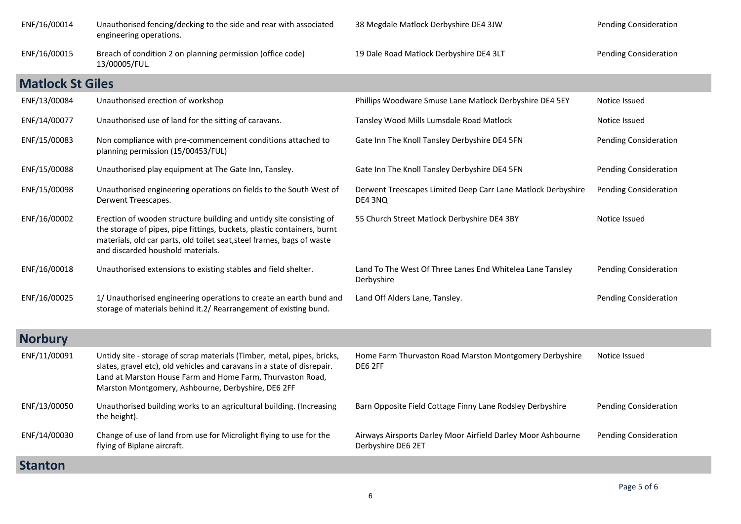| ENF/16/00014            | Unauthorised fencing/decking to the side and rear with associated<br>engineering operations.                                                                                                                                                                           | 38 Megdale Matlock Derbyshire DE4 3JW                                              | <b>Pending Consideration</b> |
|-------------------------|------------------------------------------------------------------------------------------------------------------------------------------------------------------------------------------------------------------------------------------------------------------------|------------------------------------------------------------------------------------|------------------------------|
| ENF/16/00015            | Breach of condition 2 on planning permission (office code)<br>13/00005/FUL.                                                                                                                                                                                            | 19 Dale Road Matlock Derbyshire DE4 3LT                                            | <b>Pending Consideration</b> |
| <b>Matlock St Giles</b> |                                                                                                                                                                                                                                                                        |                                                                                    |                              |
| ENF/13/00084            | Unauthorised erection of workshop                                                                                                                                                                                                                                      | Phillips Woodware Smuse Lane Matlock Derbyshire DE4 5EY                            | Notice Issued                |
| ENF/14/00077            | Unauthorised use of land for the sitting of caravans.                                                                                                                                                                                                                  | Tansley Wood Mills Lumsdale Road Matlock                                           | Notice Issued                |
| ENF/15/00083            | Non compliance with pre-commencement conditions attached to<br>planning permission (15/00453/FUL)                                                                                                                                                                      | Gate Inn The Knoll Tansley Derbyshire DE4 5FN                                      | <b>Pending Consideration</b> |
| ENF/15/00088            | Unauthorised play equipment at The Gate Inn, Tansley.                                                                                                                                                                                                                  | Gate Inn The Knoll Tansley Derbyshire DE4 5FN                                      | <b>Pending Consideration</b> |
| ENF/15/00098            | Unauthorised engineering operations on fields to the South West of<br>Derwent Treescapes.                                                                                                                                                                              | Derwent Treescapes Limited Deep Carr Lane Matlock Derbyshire<br>DE4 3NQ            | <b>Pending Consideration</b> |
| ENF/16/00002            | Erection of wooden structure building and untidy site consisting of<br>the storage of pipes, pipe fittings, buckets, plastic containers, burnt<br>materials, old car parts, old toilet seat, steel frames, bags of waste<br>and discarded houshold materials.          | 55 Church Street Matlock Derbyshire DE4 3BY                                        | Notice Issued                |
| ENF/16/00018            | Unauthorised extensions to existing stables and field shelter.                                                                                                                                                                                                         | Land To The West Of Three Lanes End Whitelea Lane Tansley<br>Derbyshire            | <b>Pending Consideration</b> |
| ENF/16/00025            | 1/ Unauthorised engineering operations to create an earth bund and<br>storage of materials behind it.2/ Rearrangement of existing bund.                                                                                                                                | Land Off Alders Lane, Tansley.                                                     | <b>Pending Consideration</b> |
| <b>Norbury</b>          |                                                                                                                                                                                                                                                                        |                                                                                    |                              |
| ENF/11/00091            | Untidy site - storage of scrap materials (Timber, metal, pipes, bricks,<br>slates, gravel etc), old vehicles and caravans in a state of disrepair.<br>Land at Marston House Farm and Home Farm, Thurvaston Road,<br>Marston Montgomery, Ashbourne, Derbyshire, DE6 2FF | Home Farm Thurvaston Road Marston Montgomery Derbyshire<br>DE6 2FF                 | Notice Issued                |
| ENF/13/00050            | Unauthorised building works to an agricultural building. (Increasing<br>the height).                                                                                                                                                                                   | Barn Opposite Field Cottage Finny Lane Rodsley Derbyshire                          | <b>Pending Consideration</b> |
| ENF/14/00030            | Change of use of land from use for Microlight flying to use for the<br>flying of Biplane aircraft.                                                                                                                                                                     | Airways Airsports Darley Moor Airfield Darley Moor Ashbourne<br>Derbyshire DE6 2ET | <b>Pending Consideration</b> |
| <b>Stanton</b>          |                                                                                                                                                                                                                                                                        |                                                                                    |                              |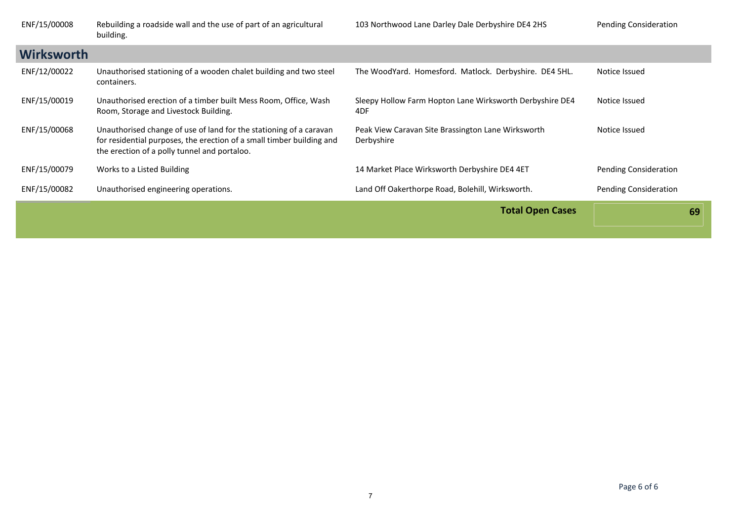| ENF/15/00008      | Rebuilding a roadside wall and the use of part of an agricultural<br>building.                                                                                                              | 103 Northwood Lane Darley Dale Derbyshire DE4 2HS                | Pending Consideration |
|-------------------|---------------------------------------------------------------------------------------------------------------------------------------------------------------------------------------------|------------------------------------------------------------------|-----------------------|
| <b>Wirksworth</b> |                                                                                                                                                                                             |                                                                  |                       |
| ENF/12/00022      | Unauthorised stationing of a wooden chalet building and two steel<br>containers.                                                                                                            | The WoodYard. Homesford. Matlock. Derbyshire. DE4 5HL.           | Notice Issued         |
| ENF/15/00019      | Unauthorised erection of a timber built Mess Room, Office, Wash<br>Room, Storage and Livestock Building.                                                                                    | Sleepy Hollow Farm Hopton Lane Wirksworth Derbyshire DE4<br>4DF  | Notice Issued         |
| ENF/15/00068      | Unauthorised change of use of land for the stationing of a caravan<br>for residential purposes, the erection of a small timber building and<br>the erection of a polly tunnel and portaloo. | Peak View Caravan Site Brassington Lane Wirksworth<br>Derbyshire | Notice Issued         |
| ENF/15/00079      | Works to a Listed Building                                                                                                                                                                  | 14 Market Place Wirksworth Derbyshire DE4 4ET                    | Pending Consideration |
| ENF/15/00082      | Unauthorised engineering operations.                                                                                                                                                        | Land Off Oakerthorpe Road, Bolehill, Wirksworth.                 | Pending Consideration |
|                   |                                                                                                                                                                                             | <b>Total Open Cases</b>                                          | 69                    |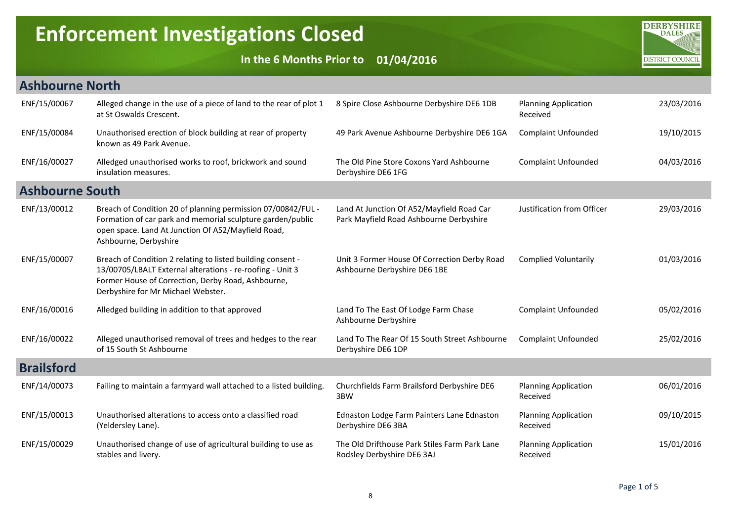## Enforcement Investigations Closed

In the 6 Months Prior to 01/04/2016



| <b>Ashbourne North</b> |                                                                                                                                                                                                                      |                                                                                      |                                         |            |
|------------------------|----------------------------------------------------------------------------------------------------------------------------------------------------------------------------------------------------------------------|--------------------------------------------------------------------------------------|-----------------------------------------|------------|
| ENF/15/00067           | Alleged change in the use of a piece of land to the rear of plot 1<br>at St Oswalds Crescent.                                                                                                                        | 8 Spire Close Ashbourne Derbyshire DE6 1DB                                           | <b>Planning Application</b><br>Received | 23/03/2016 |
| ENF/15/00084           | Unauthorised erection of block building at rear of property<br>known as 49 Park Avenue.                                                                                                                              | 49 Park Avenue Ashbourne Derbyshire DE6 1GA                                          | <b>Complaint Unfounded</b>              | 19/10/2015 |
| ENF/16/00027           | Alledged unauthorised works to roof, brickwork and sound<br>insulation measures.                                                                                                                                     | The Old Pine Store Coxons Yard Ashbourne<br>Derbyshire DE6 1FG                       | <b>Complaint Unfounded</b>              | 04/03/2016 |
| <b>Ashbourne South</b> |                                                                                                                                                                                                                      |                                                                                      |                                         |            |
| ENF/13/00012           | Breach of Condition 20 of planning permission 07/00842/FUL -<br>Formation of car park and memorial sculpture garden/public<br>open space. Land At Junction Of A52/Mayfield Road,<br>Ashbourne, Derbyshire            | Land At Junction Of A52/Mayfield Road Car<br>Park Mayfield Road Ashbourne Derbyshire | Justification from Officer              | 29/03/2016 |
| ENF/15/00007           | Breach of Condition 2 relating to listed building consent -<br>13/00705/LBALT External alterations - re-roofing - Unit 3<br>Former House of Correction, Derby Road, Ashbourne,<br>Derbyshire for Mr Michael Webster. | Unit 3 Former House Of Correction Derby Road<br>Ashbourne Derbyshire DE6 1BE         | <b>Complied Voluntarily</b>             | 01/03/2016 |
| ENF/16/00016           | Alledged building in addition to that approved                                                                                                                                                                       | Land To The East Of Lodge Farm Chase<br>Ashbourne Derbyshire                         | <b>Complaint Unfounded</b>              | 05/02/2016 |
| ENF/16/00022           | Alleged unauthorised removal of trees and hedges to the rear<br>of 15 South St Ashbourne                                                                                                                             | Land To The Rear Of 15 South Street Ashbourne<br>Derbyshire DE6 1DP                  | <b>Complaint Unfounded</b>              | 25/02/2016 |
| <b>Brailsford</b>      |                                                                                                                                                                                                                      |                                                                                      |                                         |            |
| ENF/14/00073           | Failing to maintain a farmyard wall attached to a listed building.                                                                                                                                                   | Churchfields Farm Brailsford Derbyshire DE6<br>3BW                                   | <b>Planning Application</b><br>Received | 06/01/2016 |
| ENF/15/00013           | Unauthorised alterations to access onto a classified road<br>(Yeldersley Lane).                                                                                                                                      | Ednaston Lodge Farm Painters Lane Ednaston<br>Derbyshire DE6 3BA                     | <b>Planning Application</b><br>Received | 09/10/2015 |
| ENF/15/00029           | Unauthorised change of use of agricultural building to use as<br>stables and livery.                                                                                                                                 | The Old Drifthouse Park Stiles Farm Park Lane<br>Rodsley Derbyshire DE6 3AJ          | <b>Planning Application</b><br>Received | 15/01/2016 |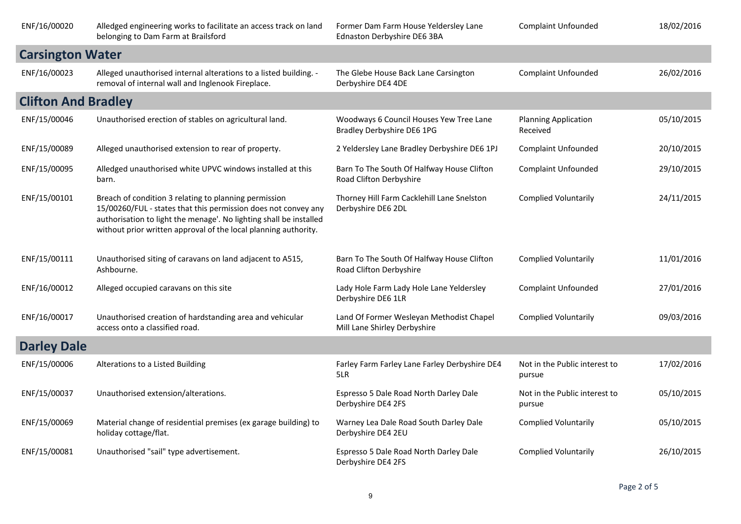| ENF/16/00020               | Alledged engineering works to facilitate an access track on land<br>belonging to Dam Farm at Brailsford                                                                                                                                                          | Former Dam Farm House Yeldersley Lane<br>Ednaston Derbyshire DE6 3BA     | <b>Complaint Unfounded</b>              | 18/02/2016 |
|----------------------------|------------------------------------------------------------------------------------------------------------------------------------------------------------------------------------------------------------------------------------------------------------------|--------------------------------------------------------------------------|-----------------------------------------|------------|
| <b>Carsington Water</b>    |                                                                                                                                                                                                                                                                  |                                                                          |                                         |            |
| ENF/16/00023               | Alleged unauthorised internal alterations to a listed building. -<br>removal of internal wall and Inglenook Fireplace.                                                                                                                                           | The Glebe House Back Lane Carsington<br>Derbyshire DE4 4DE               | <b>Complaint Unfounded</b>              | 26/02/2016 |
| <b>Clifton And Bradley</b> |                                                                                                                                                                                                                                                                  |                                                                          |                                         |            |
| ENF/15/00046               | Unauthorised erection of stables on agricultural land.                                                                                                                                                                                                           | Woodways 6 Council Houses Yew Tree Lane<br>Bradley Derbyshire DE6 1PG    | <b>Planning Application</b><br>Received | 05/10/2015 |
| ENF/15/00089               | Alleged unauthorised extension to rear of property.                                                                                                                                                                                                              | 2 Yeldersley Lane Bradley Derbyshire DE6 1PJ                             | <b>Complaint Unfounded</b>              | 20/10/2015 |
| ENF/15/00095               | Alledged unauthorised white UPVC windows installed at this<br>barn.                                                                                                                                                                                              | Barn To The South Of Halfway House Clifton<br>Road Clifton Derbyshire    | <b>Complaint Unfounded</b>              | 29/10/2015 |
| ENF/15/00101               | Breach of condition 3 relating to planning permission<br>15/00260/FUL - states that this permission does not convey any<br>authorisation to light the menage'. No lighting shall be installed<br>without prior written approval of the local planning authority. | Thorney Hill Farm Cacklehill Lane Snelston<br>Derbyshire DE6 2DL         | <b>Complied Voluntarily</b>             | 24/11/2015 |
| ENF/15/00111               | Unauthorised siting of caravans on land adjacent to A515,<br>Ashbourne.                                                                                                                                                                                          | Barn To The South Of Halfway House Clifton<br>Road Clifton Derbyshire    | <b>Complied Voluntarily</b>             | 11/01/2016 |
| ENF/16/00012               | Alleged occupied caravans on this site                                                                                                                                                                                                                           | Lady Hole Farm Lady Hole Lane Yeldersley<br>Derbyshire DE6 1LR           | <b>Complaint Unfounded</b>              | 27/01/2016 |
| ENF/16/00017               | Unauthorised creation of hardstanding area and vehicular<br>access onto a classified road.                                                                                                                                                                       | Land Of Former Wesleyan Methodist Chapel<br>Mill Lane Shirley Derbyshire | <b>Complied Voluntarily</b>             | 09/03/2016 |
| <b>Darley Dale</b>         |                                                                                                                                                                                                                                                                  |                                                                          |                                         |            |
| ENF/15/00006               | Alterations to a Listed Building                                                                                                                                                                                                                                 | Farley Farm Farley Lane Farley Derbyshire DE4<br>5LR                     | Not in the Public interest to<br>pursue | 17/02/2016 |
| ENF/15/00037               | Unauthorised extension/alterations.                                                                                                                                                                                                                              | Espresso 5 Dale Road North Darley Dale<br>Derbyshire DE4 2FS             | Not in the Public interest to<br>pursue | 05/10/2015 |
| ENF/15/00069               | Material change of residential premises (ex garage building) to<br>holiday cottage/flat.                                                                                                                                                                         | Warney Lea Dale Road South Darley Dale<br>Derbyshire DE4 2EU             | <b>Complied Voluntarily</b>             | 05/10/2015 |
| ENF/15/00081               | Unauthorised "sail" type advertisement.                                                                                                                                                                                                                          | Espresso 5 Dale Road North Darley Dale<br>Derbyshire DE4 2FS             | <b>Complied Voluntarily</b>             | 26/10/2015 |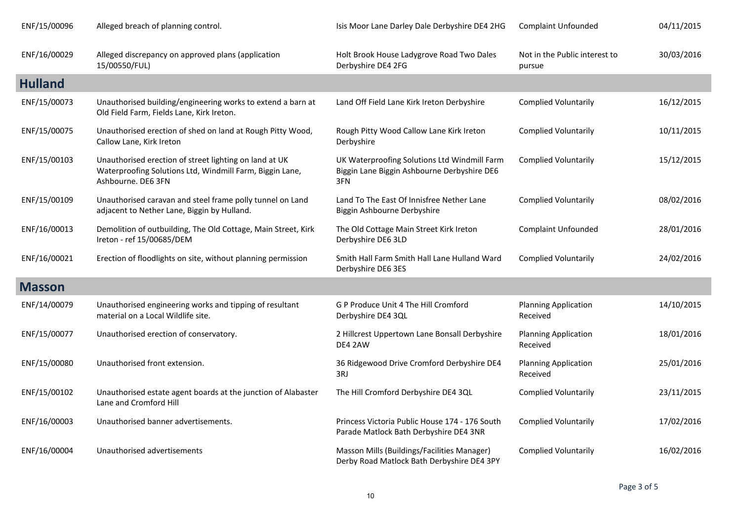| ENF/15/00096   | Alleged breach of planning control.                                                                                                      | Isis Moor Lane Darley Dale Derbyshire DE4 2HG                                                      | <b>Complaint Unfounded</b>              | 04/11/2015 |
|----------------|------------------------------------------------------------------------------------------------------------------------------------------|----------------------------------------------------------------------------------------------------|-----------------------------------------|------------|
| ENF/16/00029   | Alleged discrepancy on approved plans (application<br>15/00550/FUL)                                                                      | Holt Brook House Ladygrove Road Two Dales<br>Derbyshire DE4 2FG                                    | Not in the Public interest to<br>pursue | 30/03/2016 |
| <b>Hulland</b> |                                                                                                                                          |                                                                                                    |                                         |            |
| ENF/15/00073   | Unauthorised building/engineering works to extend a barn at<br>Old Field Farm, Fields Lane, Kirk Ireton.                                 | Land Off Field Lane Kirk Ireton Derbyshire                                                         | <b>Complied Voluntarily</b>             | 16/12/2015 |
| ENF/15/00075   | Unauthorised erection of shed on land at Rough Pitty Wood,<br>Callow Lane, Kirk Ireton                                                   | Rough Pitty Wood Callow Lane Kirk Ireton<br>Derbyshire                                             | <b>Complied Voluntarily</b>             | 10/11/2015 |
| ENF/15/00103   | Unauthorised erection of street lighting on land at UK<br>Waterproofing Solutions Ltd, Windmill Farm, Biggin Lane,<br>Ashbourne. DE6 3FN | UK Waterproofing Solutions Ltd Windmill Farm<br>Biggin Lane Biggin Ashbourne Derbyshire DE6<br>3FN | <b>Complied Voluntarily</b>             | 15/12/2015 |
| ENF/15/00109   | Unauthorised caravan and steel frame polly tunnel on Land<br>adjacent to Nether Lane, Biggin by Hulland.                                 | Land To The East Of Innisfree Nether Lane<br>Biggin Ashbourne Derbyshire                           | <b>Complied Voluntarily</b>             | 08/02/2016 |
| ENF/16/00013   | Demolition of outbuilding, The Old Cottage, Main Street, Kirk<br>Ireton - ref 15/00685/DEM                                               | The Old Cottage Main Street Kirk Ireton<br>Derbyshire DE6 3LD                                      | <b>Complaint Unfounded</b>              | 28/01/2016 |
| ENF/16/00021   | Erection of floodlights on site, without planning permission                                                                             | Smith Hall Farm Smith Hall Lane Hulland Ward<br>Derbyshire DE6 3ES                                 | <b>Complied Voluntarily</b>             | 24/02/2016 |
| <b>Masson</b>  |                                                                                                                                          |                                                                                                    |                                         |            |
| ENF/14/00079   | Unauthorised engineering works and tipping of resultant<br>material on a Local Wildlife site.                                            | G P Produce Unit 4 The Hill Cromford<br>Derbyshire DE4 3QL                                         | <b>Planning Application</b><br>Received | 14/10/2015 |
| ENF/15/00077   | Unauthorised erection of conservatory.                                                                                                   | 2 Hillcrest Uppertown Lane Bonsall Derbyshire<br>DE4 2AW                                           | <b>Planning Application</b><br>Received | 18/01/2016 |
| ENF/15/00080   | Unauthorised front extension.                                                                                                            | 36 Ridgewood Drive Cromford Derbyshire DE4<br>3RJ                                                  | <b>Planning Application</b><br>Received | 25/01/2016 |
| ENF/15/00102   | Unauthorised estate agent boards at the junction of Alabaster<br>Lane and Cromford Hill                                                  | The Hill Cromford Derbyshire DE4 3QL                                                               | <b>Complied Voluntarily</b>             | 23/11/2015 |
| ENF/16/00003   | Unauthorised banner advertisements.                                                                                                      | Princess Victoria Public House 174 - 176 South<br>Parade Matlock Bath Derbyshire DE4 3NR           | <b>Complied Voluntarily</b>             | 17/02/2016 |
| ENF/16/00004   | Unauthorised advertisements                                                                                                              | Masson Mills (Buildings/Facilities Manager)<br>Derby Road Matlock Bath Derbyshire DE4 3PY          | <b>Complied Voluntarily</b>             | 16/02/2016 |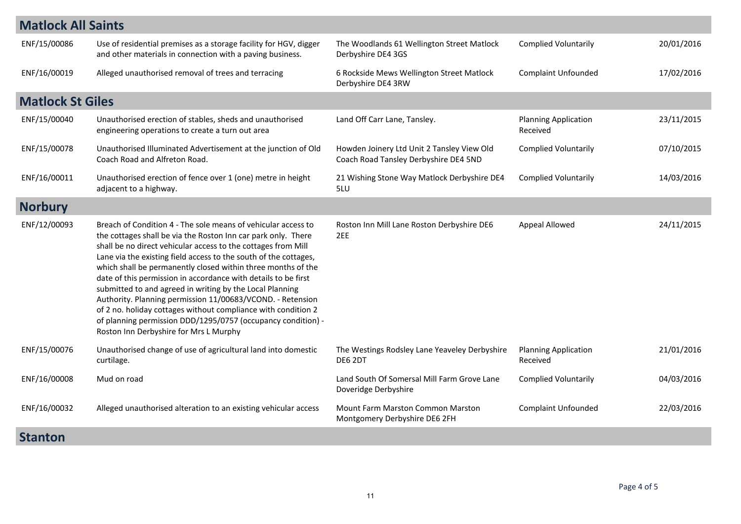| <b>Matlock All Saints</b> |                                                                                                                                                                                                                                                                                                                                                                                                                                                                                                                                                                                                                                                                                                            |                                                                                     |                                         |            |
|---------------------------|------------------------------------------------------------------------------------------------------------------------------------------------------------------------------------------------------------------------------------------------------------------------------------------------------------------------------------------------------------------------------------------------------------------------------------------------------------------------------------------------------------------------------------------------------------------------------------------------------------------------------------------------------------------------------------------------------------|-------------------------------------------------------------------------------------|-----------------------------------------|------------|
| ENF/15/00086              | Use of residential premises as a storage facility for HGV, digger<br>and other materials in connection with a paving business.                                                                                                                                                                                                                                                                                                                                                                                                                                                                                                                                                                             | The Woodlands 61 Wellington Street Matlock<br>Derbyshire DE4 3GS                    | <b>Complied Voluntarily</b>             | 20/01/2016 |
| ENF/16/00019              | Alleged unauthorised removal of trees and terracing                                                                                                                                                                                                                                                                                                                                                                                                                                                                                                                                                                                                                                                        | 6 Rockside Mews Wellington Street Matlock<br>Derbyshire DE4 3RW                     | <b>Complaint Unfounded</b>              | 17/02/2016 |
| <b>Matlock St Giles</b>   |                                                                                                                                                                                                                                                                                                                                                                                                                                                                                                                                                                                                                                                                                                            |                                                                                     |                                         |            |
| ENF/15/00040              | Unauthorised erection of stables, sheds and unauthorised<br>engineering operations to create a turn out area                                                                                                                                                                                                                                                                                                                                                                                                                                                                                                                                                                                               | Land Off Carr Lane, Tansley.                                                        | <b>Planning Application</b><br>Received | 23/11/2015 |
| ENF/15/00078              | Unauthorised Illuminated Advertisement at the junction of Old<br>Coach Road and Alfreton Road.                                                                                                                                                                                                                                                                                                                                                                                                                                                                                                                                                                                                             | Howden Joinery Ltd Unit 2 Tansley View Old<br>Coach Road Tansley Derbyshire DE4 5ND | <b>Complied Voluntarily</b>             | 07/10/2015 |
| ENF/16/00011              | Unauthorised erection of fence over 1 (one) metre in height<br>adjacent to a highway.                                                                                                                                                                                                                                                                                                                                                                                                                                                                                                                                                                                                                      | 21 Wishing Stone Way Matlock Derbyshire DE4<br>5LU                                  | <b>Complied Voluntarily</b>             | 14/03/2016 |
| <b>Norbury</b>            |                                                                                                                                                                                                                                                                                                                                                                                                                                                                                                                                                                                                                                                                                                            |                                                                                     |                                         |            |
| ENF/12/00093              | Breach of Condition 4 - The sole means of vehicular access to<br>the cottages shall be via the Roston Inn car park only. There<br>shall be no direct vehicular access to the cottages from Mill<br>Lane via the existing field access to the south of the cottages,<br>which shall be permanently closed within three months of the<br>date of this permission in accordance with details to be first<br>submitted to and agreed in writing by the Local Planning<br>Authority. Planning permission 11/00683/VCOND. - Retension<br>of 2 no. holiday cottages without compliance with condition 2<br>of planning permission DDD/1295/0757 (occupancy condition) -<br>Roston Inn Derbyshire for Mrs L Murphy | Roston Inn Mill Lane Roston Derbyshire DE6<br>2EE                                   | Appeal Allowed                          | 24/11/2015 |
| ENF/15/00076              | Unauthorised change of use of agricultural land into domestic<br>curtilage.                                                                                                                                                                                                                                                                                                                                                                                                                                                                                                                                                                                                                                | The Westings Rodsley Lane Yeaveley Derbyshire<br>DE6 2DT                            | <b>Planning Application</b><br>Received | 21/01/2016 |
| ENF/16/00008              | Mud on road                                                                                                                                                                                                                                                                                                                                                                                                                                                                                                                                                                                                                                                                                                | Land South Of Somersal Mill Farm Grove Lane<br>Doveridge Derbyshire                 | <b>Complied Voluntarily</b>             | 04/03/2016 |
| ENF/16/00032              | Alleged unauthorised alteration to an existing vehicular access                                                                                                                                                                                                                                                                                                                                                                                                                                                                                                                                                                                                                                            | <b>Mount Farm Marston Common Marston</b><br>Montgomery Derbyshire DE6 2FH           | <b>Complaint Unfounded</b>              | 22/03/2016 |
| <b>Stanton</b>            |                                                                                                                                                                                                                                                                                                                                                                                                                                                                                                                                                                                                                                                                                                            |                                                                                     |                                         |            |